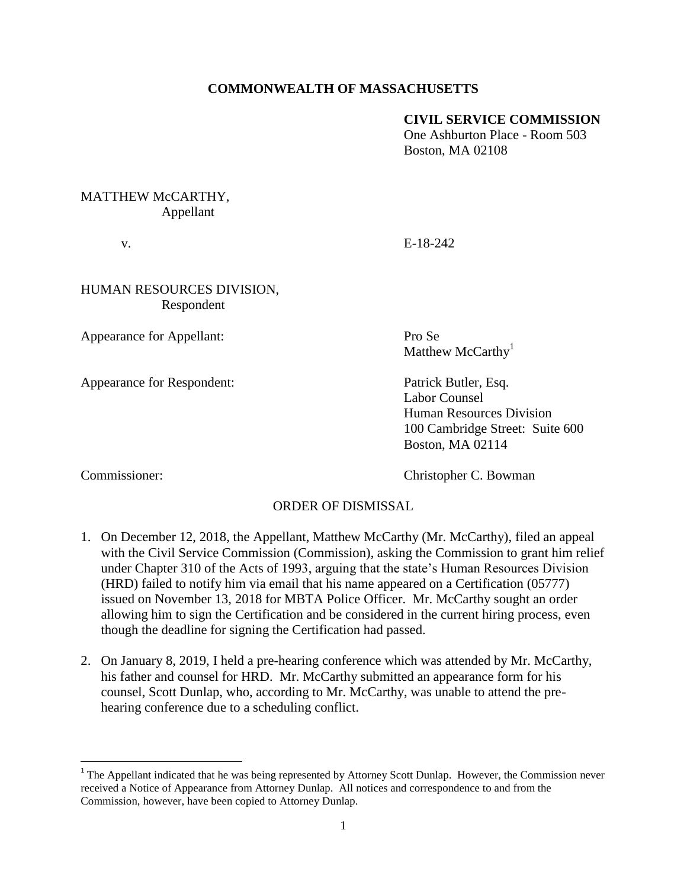# **COMMONWEALTH OF MASSACHUSETTS**

#### **CIVIL SERVICE COMMISSION**

One Ashburton Place - Room 503 Boston, MA 02108

## MATTHEW McCARTHY, Appellant

v. E-18-242

### HUMAN RESOURCES DIVISION, Respondent

Appearance for Appellant: Pro Se

Appearance for Respondent: Patrick Butler, Esq.

Matthew McCarthy<sup>1</sup>

Labor Counsel Human Resources Division 100 Cambridge Street: Suite 600 Boston, MA 02114

 $\overline{\phantom{a}}$ 

Commissioner: Commissioner: Christopher C. Bowman

### ORDER OF DISMISSAL

- 1. On December 12, 2018, the Appellant, Matthew McCarthy (Mr. McCarthy), filed an appeal with the Civil Service Commission (Commission), asking the Commission to grant him relief under Chapter 310 of the Acts of 1993, arguing that the state's Human Resources Division (HRD) failed to notify him via email that his name appeared on a Certification (05777) issued on November 13, 2018 for MBTA Police Officer. Mr. McCarthy sought an order allowing him to sign the Certification and be considered in the current hiring process, even though the deadline for signing the Certification had passed.
- 2. On January 8, 2019, I held a pre-hearing conference which was attended by Mr. McCarthy, his father and counsel for HRD. Mr. McCarthy submitted an appearance form for his counsel, Scott Dunlap, who, according to Mr. McCarthy, was unable to attend the prehearing conference due to a scheduling conflict.

<sup>&</sup>lt;sup>1</sup> The Appellant indicated that he was being represented by Attorney Scott Dunlap. However, the Commission never received a Notice of Appearance from Attorney Dunlap. All notices and correspondence to and from the Commission, however, have been copied to Attorney Dunlap.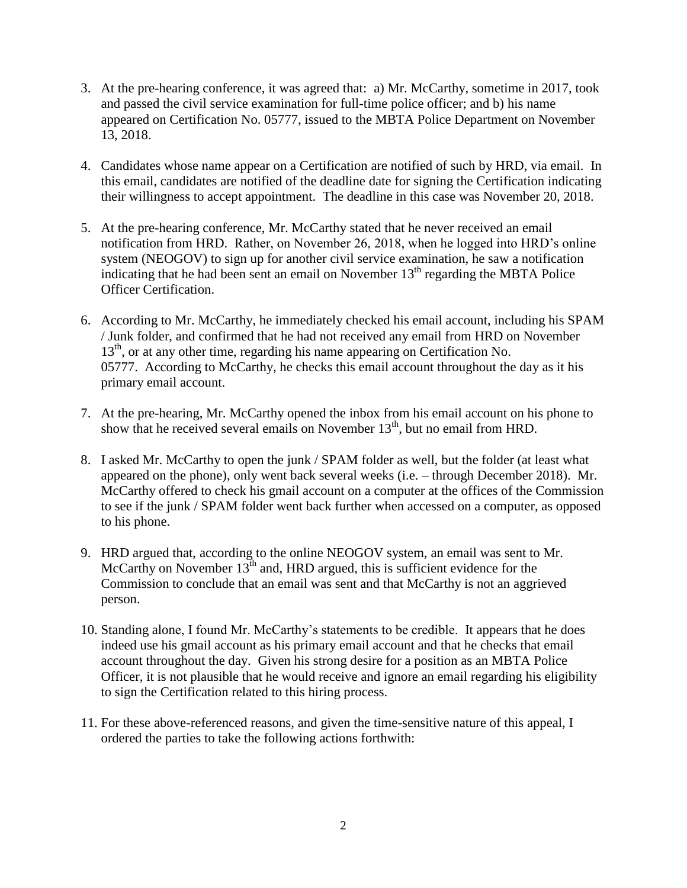- 3. At the pre-hearing conference, it was agreed that: a) Mr. McCarthy, sometime in 2017, took and passed the civil service examination for full-time police officer; and b) his name appeared on Certification No. 05777, issued to the MBTA Police Department on November 13, 2018.
- 4. Candidates whose name appear on a Certification are notified of such by HRD, via email. In this email, candidates are notified of the deadline date for signing the Certification indicating their willingness to accept appointment. The deadline in this case was November 20, 2018.
- 5. At the pre-hearing conference, Mr. McCarthy stated that he never received an email notification from HRD. Rather, on November 26, 2018, when he logged into HRD's online system (NEOGOV) to sign up for another civil service examination, he saw a notification indicating that he had been sent an email on November  $13<sup>th</sup>$  regarding the MBTA Police Officer Certification.
- 6. According to Mr. McCarthy, he immediately checked his email account, including his SPAM / Junk folder, and confirmed that he had not received any email from HRD on November 13<sup>th</sup>, or at any other time, regarding his name appearing on Certification No. 05777. According to McCarthy, he checks this email account throughout the day as it his primary email account.
- 7. At the pre-hearing, Mr. McCarthy opened the inbox from his email account on his phone to show that he received several emails on November  $13<sup>th</sup>$ , but no email from HRD.
- 8. I asked Mr. McCarthy to open the junk / SPAM folder as well, but the folder (at least what appeared on the phone), only went back several weeks (i.e. – through December 2018). Mr. McCarthy offered to check his gmail account on a computer at the offices of the Commission to see if the junk / SPAM folder went back further when accessed on a computer, as opposed to his phone.
- 9. HRD argued that, according to the online NEOGOV system, an email was sent to Mr. McCarthy on November  $13<sup>th</sup>$  and, HRD argued, this is sufficient evidence for the Commission to conclude that an email was sent and that McCarthy is not an aggrieved person.
- 10. Standing alone, I found Mr. McCarthy's statements to be credible. It appears that he does indeed use his gmail account as his primary email account and that he checks that email account throughout the day. Given his strong desire for a position as an MBTA Police Officer, it is not plausible that he would receive and ignore an email regarding his eligibility to sign the Certification related to this hiring process.
- 11. For these above-referenced reasons, and given the time-sensitive nature of this appeal, I ordered the parties to take the following actions forthwith: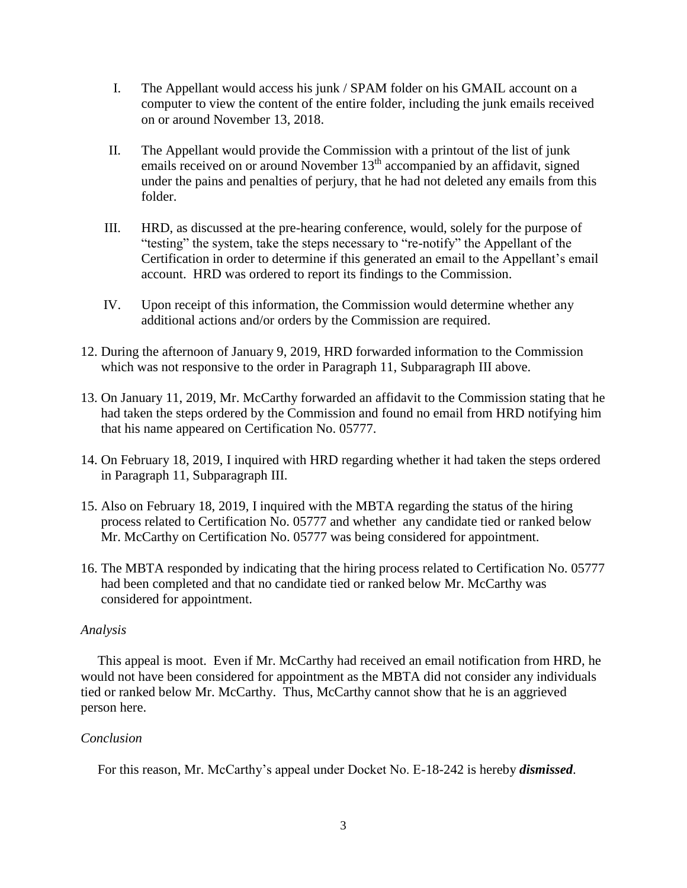- I. The Appellant would access his junk / SPAM folder on his GMAIL account on a computer to view the content of the entire folder, including the junk emails received on or around November 13, 2018.
- II. The Appellant would provide the Commission with a printout of the list of junk emails received on or around November  $13<sup>th</sup>$  accompanied by an affidavit, signed under the pains and penalties of perjury, that he had not deleted any emails from this folder.
- III. HRD, as discussed at the pre-hearing conference, would, solely for the purpose of "testing" the system, take the steps necessary to "re-notify" the Appellant of the Certification in order to determine if this generated an email to the Appellant's email account. HRD was ordered to report its findings to the Commission.
- IV. Upon receipt of this information, the Commission would determine whether any additional actions and/or orders by the Commission are required.
- 12. During the afternoon of January 9, 2019, HRD forwarded information to the Commission which was not responsive to the order in Paragraph 11, Subparagraph III above.
- 13. On January 11, 2019, Mr. McCarthy forwarded an affidavit to the Commission stating that he had taken the steps ordered by the Commission and found no email from HRD notifying him that his name appeared on Certification No. 05777.
- 14. On February 18, 2019, I inquired with HRD regarding whether it had taken the steps ordered in Paragraph 11, Subparagraph III.
- 15. Also on February 18, 2019, I inquired with the MBTA regarding the status of the hiring process related to Certification No. 05777 and whether any candidate tied or ranked below Mr. McCarthy on Certification No. 05777 was being considered for appointment.
- 16. The MBTA responded by indicating that the hiring process related to Certification No. 05777 had been completed and that no candidate tied or ranked below Mr. McCarthy was considered for appointment.

### *Analysis*

 This appeal is moot. Even if Mr. McCarthy had received an email notification from HRD, he would not have been considered for appointment as the MBTA did not consider any individuals tied or ranked below Mr. McCarthy. Thus, McCarthy cannot show that he is an aggrieved person here.

### *Conclusion*

For this reason, Mr. McCarthy's appeal under Docket No. E-18-242 is hereby *dismissed*.